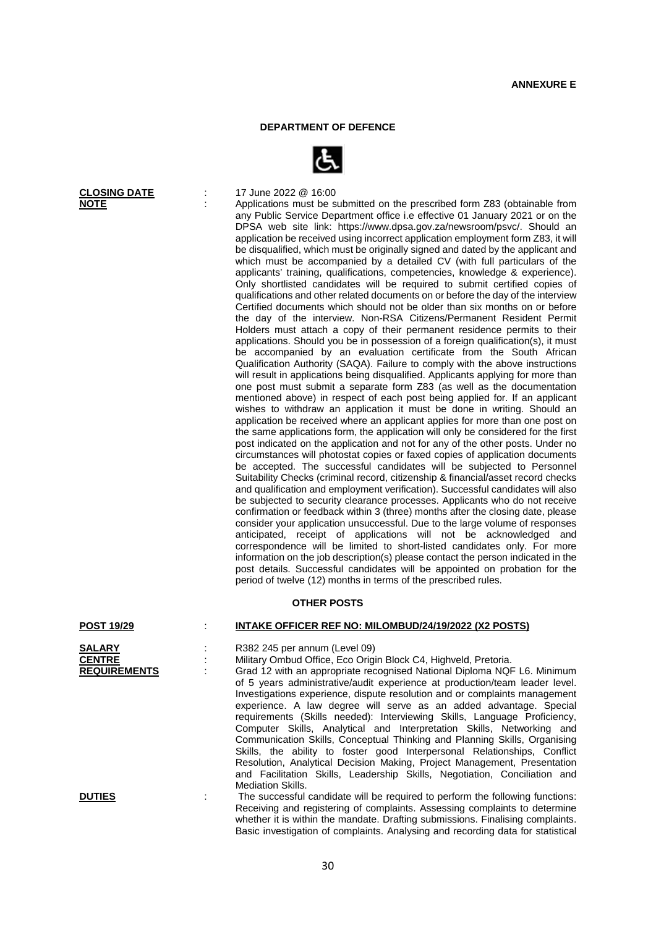## **DEPARTMENT OF DEFENCE**



Applications must be submitted on the prescribed form Z83 (obtainable from any Public Service Department office i.e effective 01 January 2021 or on the DPSA web site link: https://www.dpsa.gov.za/newsroom/psvc/. Should an application be received using incorrect application employment form Z83, it will be disqualified, which must be originally signed and dated by the applicant and which must be accompanied by a detailed CV (with full particulars of the applicants' training, qualifications, competencies, knowledge & experience). Only shortlisted candidates will be required to submit certified copies of qualifications and other related documents on or before the day of the interview Certified documents which should not be older than six months on or before the day of the interview. Non-RSA Citizens/Permanent Resident Permit Holders must attach a copy of their permanent residence permits to their applications. Should you be in possession of a foreign qualification(s), it must be accompanied by an evaluation certificate from the South African Qualification Authority (SAQA). Failure to comply with the above instructions will result in applications being disqualified. Applicants applying for more than one post must submit a separate form Z83 (as well as the documentation mentioned above) in respect of each post being applied for. If an applicant wishes to withdraw an application it must be done in writing. Should an application be received where an applicant applies for more than one post on the same applications form, the application will only be considered for the first post indicated on the application and not for any of the other posts. Under no circumstances will photostat copies or faxed copies of application documents be accepted. The successful candidates will be subjected to Personnel Suitability Checks (criminal record, citizenship & financial/asset record checks and qualification and employment verification). Successful candidates will also be subjected to security clearance processes. Applicants who do not receive confirmation or feedback within 3 (three) months after the closing date, please consider your application unsuccessful. Due to the large volume of responses anticipated, receipt of applications will not be acknowledged and correspondence will be limited to short-listed candidates only. For more information on the job description(s) please contact the person indicated in the post details. Successful candidates will be appointed on probation for the period of twelve (12) months in terms of the prescribed rules.

## **OTHER POSTS**

## **POST 19/29** : **INTAKE OFFICER REF NO: MILOMBUD/24/19/2022 (X2 POSTS)**

| <b>SALARY</b>       | R382 245 per annum (Level 09)                                                                                                                                                                                                                                                                                                                                                                                                                                                                                                                                                                                                                                                                                                                                                                                 |
|---------------------|---------------------------------------------------------------------------------------------------------------------------------------------------------------------------------------------------------------------------------------------------------------------------------------------------------------------------------------------------------------------------------------------------------------------------------------------------------------------------------------------------------------------------------------------------------------------------------------------------------------------------------------------------------------------------------------------------------------------------------------------------------------------------------------------------------------|
| <b>CENTRE</b>       | Military Ombud Office, Eco Origin Block C4, Highveld, Pretoria.                                                                                                                                                                                                                                                                                                                                                                                                                                                                                                                                                                                                                                                                                                                                               |
| <b>REQUIREMENTS</b> | Grad 12 with an appropriate recognised National Diploma NQF L6. Minimum<br>of 5 years administrative/audit experience at production/team leader level.<br>Investigations experience, dispute resolution and or complaints management<br>experience. A law degree will serve as an added advantage. Special<br>requirements (Skills needed): Interviewing Skills, Language Proficiency,<br>Computer Skills, Analytical and Interpretation Skills, Networking and<br>Communication Skills, Conceptual Thinking and Planning Skills, Organising<br>Skills, the ability to foster good Interpersonal Relationships, Conflict<br>Resolution, Analytical Decision Making, Project Management, Presentation<br>and Facilitation Skills, Leadership Skills, Negotiation, Conciliation and<br><b>Mediation Skills.</b> |
| <b>DUTIES</b>       | The successful candidate will be required to perform the following functions:                                                                                                                                                                                                                                                                                                                                                                                                                                                                                                                                                                                                                                                                                                                                 |

**DUTIES** : The successful candidate will be required to perform the following functions: Receiving and registering of complaints. Assessing complaints to determine whether it is within the mandate. Drafting submissions. Finalising complaints. Basic investigation of complaints. Analysing and recording data for statistical

**CLOSING DATE** : 17 June 2022 @ 16:00<br> **NOTE** : Applications must be s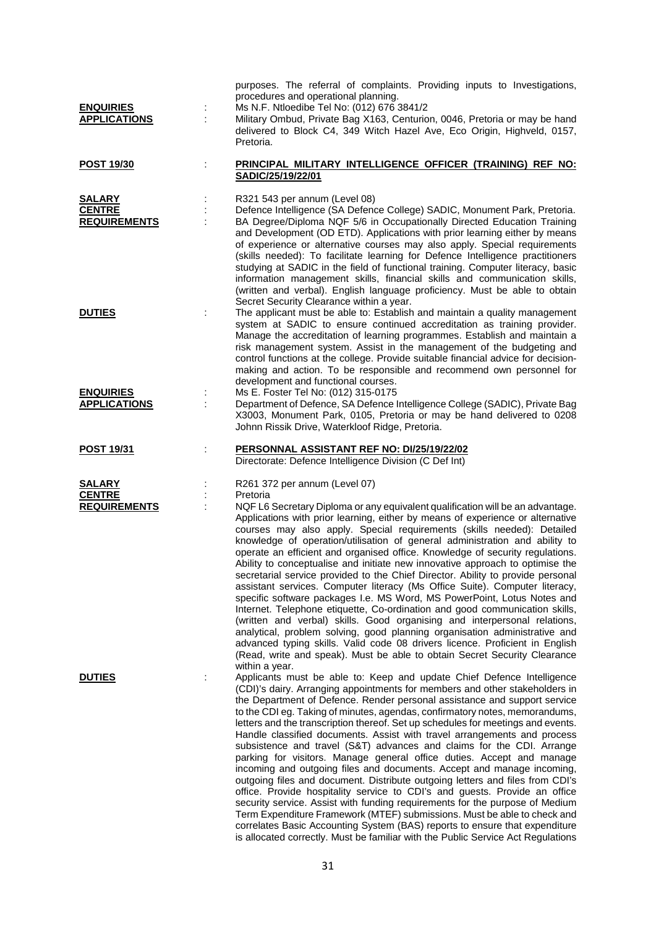| <b>ENQUIRIES</b><br><b>APPLICATIONS</b>               | ÷ | purposes. The referral of complaints. Providing inputs to Investigations,<br>procedures and operational planning.<br>Ms N.F. Ntloedibe Tel No: (012) 676 3841/2<br>Military Ombud, Private Bag X163, Centurion, 0046, Pretoria or may be hand<br>delivered to Block C4, 349 Witch Hazel Ave, Eco Origin, Highveld, 0157,<br>Pretoria.                                                                                                                                                                                                                                                                                                                                                                                                                                                                                                                                                                                                                                                                                                                                                                                                                                                                          |
|-------------------------------------------------------|---|----------------------------------------------------------------------------------------------------------------------------------------------------------------------------------------------------------------------------------------------------------------------------------------------------------------------------------------------------------------------------------------------------------------------------------------------------------------------------------------------------------------------------------------------------------------------------------------------------------------------------------------------------------------------------------------------------------------------------------------------------------------------------------------------------------------------------------------------------------------------------------------------------------------------------------------------------------------------------------------------------------------------------------------------------------------------------------------------------------------------------------------------------------------------------------------------------------------|
| <b>POST 19/30</b>                                     |   | PRINCIPAL MILITARY INTELLIGENCE OFFICER (TRAINING) REF NO:<br>SADIC/25/19/22/01                                                                                                                                                                                                                                                                                                                                                                                                                                                                                                                                                                                                                                                                                                                                                                                                                                                                                                                                                                                                                                                                                                                                |
| <b>SALARY</b><br><b>CENTRE</b><br><b>REQUIREMENTS</b> | ÷ | R321 543 per annum (Level 08)<br>Defence Intelligence (SA Defence College) SADIC, Monument Park, Pretoria.<br>BA Degree/Diploma NQF 5/6 in Occupationally Directed Education Training<br>and Development (OD ETD). Applications with prior learning either by means<br>of experience or alternative courses may also apply. Special requirements<br>(skills needed): To facilitate learning for Defence Intelligence practitioners<br>studying at SADIC in the field of functional training. Computer literacy, basic<br>information management skills, financial skills and communication skills,<br>(written and verbal). English language proficiency. Must be able to obtain<br>Secret Security Clearance within a year.                                                                                                                                                                                                                                                                                                                                                                                                                                                                                   |
| <b>DUTIES</b>                                         |   | The applicant must be able to: Establish and maintain a quality management<br>system at SADIC to ensure continued accreditation as training provider.<br>Manage the accreditation of learning programmes. Establish and maintain a<br>risk management system. Assist in the management of the budgeting and<br>control functions at the college. Provide suitable financial advice for decision-<br>making and action. To be responsible and recommend own personnel for<br>development and functional courses.                                                                                                                                                                                                                                                                                                                                                                                                                                                                                                                                                                                                                                                                                                |
| <b>ENQUIRIES</b><br><b>APPLICATIONS</b>               |   | Ms E. Foster Tel No: (012) 315-0175<br>Department of Defence, SA Defence Intelligence College (SADIC), Private Bag<br>X3003, Monument Park, 0105, Pretoria or may be hand delivered to 0208<br>Johnn Rissik Drive, Waterkloof Ridge, Pretoria.                                                                                                                                                                                                                                                                                                                                                                                                                                                                                                                                                                                                                                                                                                                                                                                                                                                                                                                                                                 |
| <b>POST 19/31</b>                                     |   | PERSONNAL ASSISTANT REF NO: DI/25/19/22/02<br>Directorate: Defence Intelligence Division (C Def Int)                                                                                                                                                                                                                                                                                                                                                                                                                                                                                                                                                                                                                                                                                                                                                                                                                                                                                                                                                                                                                                                                                                           |
| <b>SALARY</b><br><b>CENTRE</b><br><b>REQUIREMENTS</b> |   | R261 372 per annum (Level 07)<br>Pretoria<br>NQF L6 Secretary Diploma or any equivalent qualification will be an advantage.<br>Applications with prior learning, either by means of experience or alternative<br>courses may also apply. Special requirements (skills needed): Detailed<br>knowledge of operation/utilisation of general administration and ability to<br>operate an efficient and organised office. Knowledge of security regulations.<br>Ability to conceptualise and initiate new innovative approach to optimise the<br>secretarial service provided to the Chief Director. Ability to provide personal<br>assistant services. Computer literacy (Ms Office Suite). Computer literacy,<br>specific software packages I.e. MS Word, MS PowerPoint, Lotus Notes and<br>Internet. Telephone etiquette, Co-ordination and good communication skills,<br>(written and verbal) skills. Good organising and interpersonal relations,<br>analytical, problem solving, good planning organisation administrative and<br>advanced typing skills. Valid code 08 drivers licence. Proficient in English<br>(Read, write and speak). Must be able to obtain Secret Security Clearance<br>within a year. |
| <b>DUTIES</b>                                         |   | Applicants must be able to: Keep and update Chief Defence Intelligence<br>(CDI)'s dairy. Arranging appointments for members and other stakeholders in<br>the Department of Defence. Render personal assistance and support service<br>to the CDI eg. Taking of minutes, agendas, confirmatory notes, memorandums,<br>letters and the transcription thereof. Set up schedules for meetings and events.<br>Handle classified documents. Assist with travel arrangements and process<br>subsistence and travel (S&T) advances and claims for the CDI. Arrange<br>parking for visitors. Manage general office duties. Accept and manage<br>incoming and outgoing files and documents. Accept and manage incoming,<br>outgoing files and document. Distribute outgoing letters and files from CDI's<br>office. Provide hospitality service to CDI's and guests. Provide an office<br>security service. Assist with funding requirements for the purpose of Medium<br>Term Expenditure Framework (MTEF) submissions. Must be able to check and<br>correlates Basic Accounting System (BAS) reports to ensure that expenditure<br>is allocated correctly. Must be familiar with the Public Service Act Regulations    |